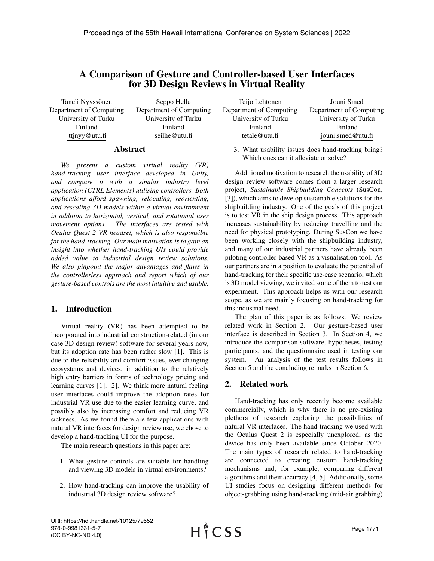# A Comparison of Gesture and Controller-based User Interfaces for 3D Design Reviews in Virtual Reality

Taneli Nyyssönen Department of Computing University of Turku Finland ttjnyy@utu.fi

Seppo Helle Department of Computing University of Turku Finland seilhe@utu.fi

### Abstract

*We present a custom virtual reality (VR) hand-tracking user interface developed in Unity, and compare it with a similar industry level application (CTRL Elements) utilising controllers. Both applications afford spawning, relocating, reorienting, and rescaling 3D models within a virtual environment in addition to horizontal, vertical, and rotational user movement options. The interfaces are tested with Oculus Quest 2 VR headset, which is also responsible for the hand-tracking. Our main motivation is to gain an insight into whether hand-tracking UIs could provide added value to industrial design review solutions. We also pinpoint the major advantages and flaws in the controllerless approach and report which of our gesture-based controls are the most intuitive and usable.*

# 1. Introduction

Virtual reality (VR) has been attempted to be incorporated into industrial construction-related (in our case 3D design review) software for several years now, but its adoption rate has been rather slow [1]. This is due to the reliability and comfort issues, ever-changing ecosystems and devices, in addition to the relatively high entry barriers in forms of technology pricing and learning curves [1], [2]. We think more natural feeling user interfaces could improve the adoption rates for industrial VR use due to the easier learning curve, and possibly also by increasing comfort and reducing VR sickness. As we found there are few applications with natural VR interfaces for design review use, we chose to develop a hand-tracking UI for the purpose.

The main research questions in this paper are:

- 1. What gesture controls are suitable for handling and viewing 3D models in virtual environments?
- 2. How hand-tracking can improve the usability of industrial 3D design review software?

| Teijo Lehtonen          | Jouni Smed              |
|-------------------------|-------------------------|
| Department of Computing | Department of Computing |
| University of Turku     | University of Turku     |
| Finland                 | Finland                 |
| tetale@utu.fi           | jouni.smed@utu.fi       |

3. What usability issues does hand-tracking bring? Which ones can it alleviate or solve?

Additional motivation to research the usability of 3D design review software comes from a larger research project, *Sustainable Shipbuilding Concepts* (SusCon, [3]), which aims to develop sustainable solutions for the shipbuilding industry. One of the goals of this project is to test VR in the ship design process. This approach increases sustainability by reducing travelling and the need for physical prototyping. During SusCon we have been working closely with the shipbuilding industry, and many of our industrial partners have already been piloting controller-based VR as a visualisation tool. As our partners are in a position to evaluate the potential of hand-tracking for their specific use-case scenario, which is 3D model viewing, we invited some of them to test our experiment. This approach helps us with our research scope, as we are mainly focusing on hand-tracking for this industrial need.

The plan of this paper is as follows: We review related work in Section 2. Our gesture-based user interface is described in Section 3. In Section 4, we introduce the comparison software, hypotheses, testing participants, and the questionnaire used in testing our system. An analysis of the test results follows in Section 5 and the concluding remarks in Section 6.

# 2. Related work

Hand-tracking has only recently become available commercially, which is why there is no pre-existing plethora of research exploring the possibilities of natural VR interfaces. The hand-tracking we used with the Oculus Quest 2 is especially unexplored, as the device has only been available since October 2020. The main types of research related to hand-tracking are connected to creating custom hand-tracking mechanisms and, for example, comparing different algorithms and their accuracy [4, 5]. Additionally, some UI studies focus on designing different methods for object-grabbing using hand-tracking (mid-air grabbing)

URI: https://hdl.handle.net/10125/79552 978-0-9981331-5-7 (CC BY-NC-ND 4.0)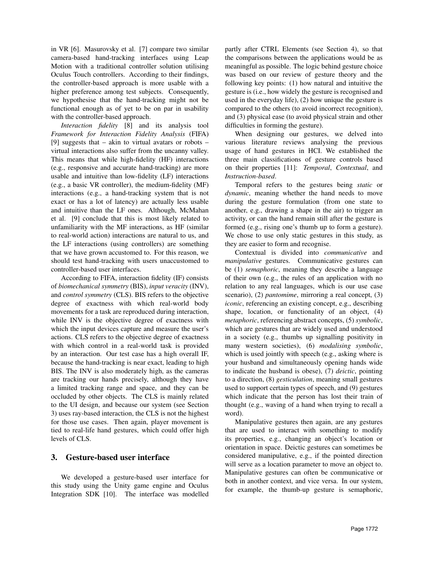in VR [6]. Masurovsky et al. [7] compare two similar camera-based hand-tracking interfaces using Leap Motion with a traditional controller solution utilising Oculus Touch controllers. According to their findings, the controller-based approach is more usable with a higher preference among test subjects. Consequently, we hypothesise that the hand-tracking might not be functional enough as of yet to be on par in usability with the controller-based approach.

*Interaction fidelity* [8] and its analysis tool *Framework for Interaction Fidelity Analysis* (FIFA) [9] suggests that – akin to virtual avatars or robots – virtual interactions also suffer from the uncanny valley. This means that while high-fidelity (HF) interactions (e.g., responsive and accurate hand-tracking) are more usable and intuitive than low-fidelity (LF) interactions (e.g., a basic VR controller), the medium-fidelity (MF) interactions (e.g., a hand-tracking system that is not exact or has a lot of latency) are actually less usable and intuitive than the LF ones. Although, McMahan et al. [9] conclude that this is most likely related to unfamiliarity with the MF interactions, as HF (similar to real-world action) interactions are natural to us, and the LF interactions (using controllers) are something that we have grown accustomed to. For this reason, we should test hand-tracking with users unaccustomed to controller-based user interfaces.

According to FIFA, interaction fidelity (IF) consists of *biomechanical symmetry* (BIS), *input veracity* (INV), and *control symmetry* (CLS). BIS refers to the objective degree of exactness with which real-world body movements for a task are reproduced during interaction, while INV is the objective degree of exactness with which the input devices capture and measure the user's actions. CLS refers to the objective degree of exactness with which control in a real-world task is provided by an interaction. Our test case has a high overall IF, because the hand-tracking is near exact, leading to high BIS. The INV is also moderately high, as the cameras are tracking our hands precisely, although they have a limited tracking range and space, and they can be occluded by other objects. The CLS is mainly related to the UI design, and because our system (see Section 3) uses ray-based interaction, the CLS is not the highest for those use cases. Then again, player movement is tied to real-life hand gestures, which could offer high levels of CLS.

# 3. Gesture-based user interface

We developed a gesture-based user interface for this study using the Unity game engine and Oculus Integration SDK [10]. The interface was modelled partly after CTRL Elements (see Section 4), so that the comparisons between the applications would be as meaningful as possible. The logic behind gesture choice was based on our review of gesture theory and the following key points: (1) how natural and intuitive the gesture is (i.e., how widely the gesture is recognised and used in the everyday life), (2) how unique the gesture is compared to the others (to avoid incorrect recognition), and (3) physical ease (to avoid physical strain and other difficulties in forming the gesture).

When designing our gestures, we delved into various literature reviews analysing the previous usage of hand gestures in HCI. We established the three main classifications of gesture controls based on their properties [11]: *Temporal*, *Contextual*, and *Instruction-based*.

Temporal refers to the gestures being *static* or *dynamic*, meaning whether the hand needs to move during the gesture formulation (from one state to another, e.g., drawing a shape in the air) to trigger an activity, or can the hand remain still after the gesture is formed (e.g., rising one's thumb up to form a gesture). We chose to use only static gestures in this study, as they are easier to form and recognise.

Contextual is divided into *communicative* and *manipulative* gestures. Communicative gestures can be (1) *semaphoric*, meaning they describe a language of their own (e.g., the rules of an application with no relation to any real languages, which is our use case scenario), (2) *pantomime*, mirroring a real concept, (3) *iconic*, referencing an existing concept, e.g., describing shape, location, or functionality of an object, (4) *metaphoric*, referencing abstract concepts, (5) *symbolic*, which are gestures that are widely used and understood in a society (e.g., thumbs up signalling positivity in many western societies), (6) *modalising symbolic*, which is used jointly with speech (e.g., asking where is your husband and simultaneously opening hands wide to indicate the husband is obese), (7) *deictic*, pointing to a direction, (8) *gesticulation*, meaning small gestures used to support certain types of speech, and (9) gestures which indicate that the person has lost their train of thought (e.g., waving of a hand when trying to recall a word).

Manipulative gestures then again, are any gestures that are used to interact with something to modify its properties, e.g., changing an object's location or orientation in space. Deictic gestures can sometimes be considered manipulative, e.g., if the pointed direction will serve as a location parameter to move an object to. Manipulative gestures can often be communicative or both in another context, and vice versa. In our system, for example, the thumb-up gesture is semaphoric,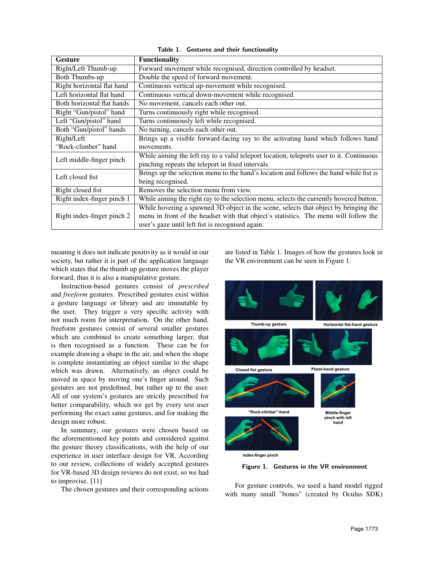| <b>Gesture</b>             | <b>Functionality</b>                                                                     |
|----------------------------|------------------------------------------------------------------------------------------|
| Right/Left Thumb-up        | Forward movement while recognised, direction controlled by headset.                      |
| Both Thumbs-up             | Double the speed of forward movement.                                                    |
| Right horizontal flat hand | Continuous vertical up-movement while recognised.                                        |
| Left horizontal flat hand  | Continuous vertical down-movement while recognised.                                      |
| Both horizontal flat hands | No movement, cancels each other out.                                                     |
| Right "Gun/pistol" hand    | Turns continuously right while recognised.                                               |
| Left "Gun/pistol" hand     | Turns continuously left while recognised.                                                |
| Both "Gun/pistol" hands    | No turning, cancels each other out.                                                      |
| Right/Left                 | Brings up a visible forward-facing ray to the activating hand which follows hand         |
| "Rock-climber" hand        | movements.                                                                               |
| Left middle-finger pinch   | While aiming the left ray to a valid teleport location, teleports user to it. Continuous |
|                            | pinching repeats the teleport in fixed intervals.                                        |
| Left closed fist           | Brings up the selection menu to the hand's location and follows the hand while fist is   |
|                            | being recognised.                                                                        |
| Right closed fist          | Removes the selection menu from view.                                                    |
| Right index-finger pinch 1 | While aiming the right ray to the selection menu, selects the currently hovered button.  |
|                            | While hovering a spawned 3D object in the scene, selects that object by bringing the     |
| Right index-finger pinch 2 | menu in front of the headset with that object's statistics. The menu will follow the     |
|                            | user's gaze until left fist is recognised again.                                         |

Table 1. Gestures and their functionality

meaning it does not indicate positivity as it would in our society, but rather it is part of the application language which states that the thumb up gesture moves the player forward, thus it is also a manipulative gesture.

Instruction-based gestures consist of *prescribed* and *freeform* gestures. Prescribed gestures exist within a gesture language or library and are immutable by the user. They trigger a very specific activity with not much room for interpretation. On the other hand, freeform gestures consist of several smaller gestures which are combined to create something larger, that is then recognised as a function. These can be for example drawing a shape in the air, and when the shape is complete instantiating an object similar to the shape which was drawn. Alternatively, an object could be moved in space by moving one's finger around. Such gestures are not predefined, but rather up to the user. All of our system's gestures are strictly prescribed for better comparability, which we get by every test user performing the exact same gestures, and for making the design more robust.

In summary, our gestures were chosen based on the aforementioned key points and considered against the gesture theory classifications, with the help of our experience in user interface design for VR. According to our review, collections of widely accepted gestures for VR-based 3D design reviews do not exist, so we had to improvise. [11]

The chosen gestures and their corresponding actions

are listed in Table 1. Images of how the gestures look in the VR environment can be seen in Figure 1.



Figure 1. Gestures in the VR environment

For gesture controls, we used a hand model rigged with many small "bones" (created by Oculus SDK)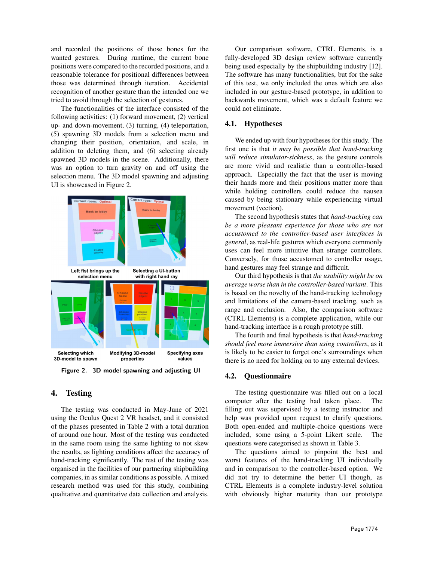and recorded the positions of those bones for the wanted gestures. During runtime, the current bone positions were compared to the recorded positions, and a reasonable tolerance for positional differences between those was determined through iteration. Accidental recognition of another gesture than the intended one we tried to avoid through the selection of gestures.

The functionalities of the interface consisted of the following activities: (1) forward movement, (2) vertical up- and down-movement, (3) turning, (4) teleportation, (5) spawning 3D models from a selection menu and changing their position, orientation, and scale, in addition to deleting them, and (6) selecting already spawned 3D models in the scene. Additionally, there was an option to turn gravity on and off using the selection menu. The 3D model spawning and adjusting UI is showcased in Figure 2.



Figure 2. 3D model spawning and adjusting UI

# 4. Testing

The testing was conducted in May-June of 2021 using the Oculus Quest 2 VR headset, and it consisted of the phases presented in Table 2 with a total duration of around one hour. Most of the testing was conducted in the same room using the same lighting to not skew the results, as lighting conditions affect the accuracy of hand-tracking significantly. The rest of the testing was organised in the facilities of our partnering shipbuilding companies, in as similar conditions as possible. A mixed research method was used for this study, combining qualitative and quantitative data collection and analysis.

Our comparison software, CTRL Elements, is a fully-developed 3D design review software currently being used especially by the shipbuilding industry [12]. The software has many functionalities, but for the sake of this test, we only included the ones which are also included in our gesture-based prototype, in addition to backwards movement, which was a default feature we could not eliminate.

## 4.1. Hypotheses

We ended up with four hypotheses for this study. The first one is that *it may be possible that hand-tracking will reduce simulator-sickness*, as the gesture controls are more vivid and realistic than a controller-based approach. Especially the fact that the user is moving their hands more and their positions matter more than while holding controllers could reduce the nausea caused by being stationary while experiencing virtual movement (vection).

The second hypothesis states that *hand-tracking can be a more pleasant experience for those who are not accustomed to the controller-based user interfaces in general*, as real-life gestures which everyone commonly uses can feel more intuitive than strange controllers. Conversely, for those accustomed to controller usage, hand gestures may feel strange and difficult.

Our third hypothesis is that *the usability might be on average worse than in the controller-based variant*. This is based on the novelty of the hand-tracking technology and limitations of the camera-based tracking, such as range and occlusion. Also, the comparison software (CTRL Elements) is a complete application, while our hand-tracking interface is a rough prototype still.

The fourth and final hypothesis is that *hand-tracking should feel more immersive than using controllers*, as it is likely to be easier to forget one's surroundings when there is no need for holding on to any external devices.

### 4.2. Questionnaire

The testing questionnaire was filled out on a local computer after the testing had taken place. The filling out was supervised by a testing instructor and help was provided upon request to clarify questions. Both open-ended and multiple-choice questions were included, some using a 5-point Likert scale. The questions were categorised as shown in Table 3.

The questions aimed to pinpoint the best and worst features of the hand-tracking UI individually and in comparison to the controller-based option. We did not try to determine the better UI though, as CTRL Elements is a complete industry-level solution with obviously higher maturity than our prototype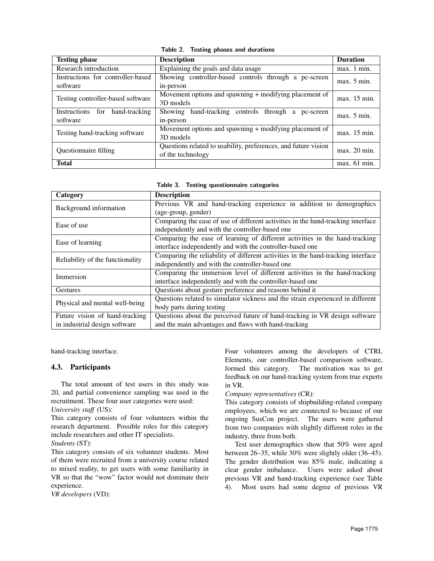| <b>Testing phase</b>                             | <b>Description</b>                                                                  | <b>Duration</b> |
|--------------------------------------------------|-------------------------------------------------------------------------------------|-----------------|
| Research introduction                            | Explaining the goals and data usage                                                 | max. 1 min.     |
| Instructions for controller-based<br>software    | Showing controller-based controls through a pc-screen<br>in-person                  | max. 5 min.     |
| Testing controller-based software                | Movement options and spawning + modifying placement of<br>3D models                 | max. 15 min.    |
| for<br>Instructions<br>hand-tracking<br>software | hand-tracking controls through<br>Showing<br>a<br>pc-screen<br>in-person            | max. 5 min.     |
| Testing hand-tracking software                   | Movement options and spawning + modifying placement of<br>3D models                 | max. 15 min.    |
| Questionnaire filling                            | Questions related to usability, preferences, and future vision<br>of the technology | max. 20 min.    |
| <b>Total</b>                                     |                                                                                     | max. 61 min.    |

Table 2. Testing phases and durations

|  | Table 3. Testing questionnaire categories |  |
|--|-------------------------------------------|--|
|  |                                           |  |

| Category                         | <b>Description</b>                                                               |  |  |  |  |  |
|----------------------------------|----------------------------------------------------------------------------------|--|--|--|--|--|
| Background information           | Previous VR and hand-tracking experience in addition to demographics             |  |  |  |  |  |
|                                  | (age-group, gender)                                                              |  |  |  |  |  |
| Ease of use                      | Comparing the ease of use of different activities in the hand-tracking interface |  |  |  |  |  |
|                                  | independently and with the controller-based one                                  |  |  |  |  |  |
| Ease of learning                 | Comparing the ease of learning of different activities in the hand-tracking      |  |  |  |  |  |
|                                  | interface independently and with the controller-based one                        |  |  |  |  |  |
| Reliability of the functionality | Comparing the reliability of different activities in the hand-tracking interface |  |  |  |  |  |
|                                  | independently and with the controller-based one                                  |  |  |  |  |  |
| Immersion                        | Comparing the immersion level of different activities in the hand-tracking       |  |  |  |  |  |
|                                  | interface independently and with the controller-based one                        |  |  |  |  |  |
| Gestures                         | Questions about gesture preference and reasons behind it                         |  |  |  |  |  |
| Physical and mental well-being   | Questions related to simulator sickness and the strain experienced in different  |  |  |  |  |  |
|                                  | body parts during testing                                                        |  |  |  |  |  |
| Future vision of hand-tracking   | Questions about the perceived future of hand-tracking in VR design software      |  |  |  |  |  |
| in industrial design software    | and the main advantages and flaws with hand-tracking                             |  |  |  |  |  |

hand-tracking interface.

### 4.3. Participants

The total amount of test users in this study was 20, and partial convenience sampling was used in the recruitment. These four user categories were used: *University staff* (US):

This category consists of four volunteers within the research department. Possible roles for this category include researchers and other IT specialists.

*Students* (ST):

This category consists of six volunteer students. Most of them were recruited from a university course related to mixed reality, to get users with some familiarity in VR so that the "wow" factor would not dominate their experience.

*VR developers* (VD):

Four volunteers among the developers of CTRL Elements, our controller-based comparison software, formed this category. The motivation was to get feedback on our hand-tracking system from true experts in VR.

*Company representatives* (CR):

This category consists of shipbuilding-related company employees, which we are connected to because of our ongoing SusCon project. The users were gathered from two companies with slightly different roles in the industry, three from both.

Test user demographics show that 50% were aged between 26–35, while 30% were slightly older (36–45). The gender distribution was 85% male, indicating a clear gender imbalance. Users were asked about previous VR and hand-tracking experience (see Table 4). Most users had some degree of previous VR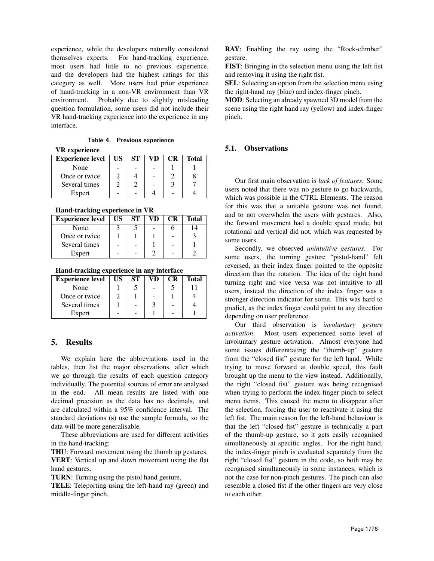experience, while the developers naturally considered themselves experts. For hand-tracking experience, most users had little to no previous experience, and the developers had the highest ratings for this category as well. More users had prior experience of hand-tracking in a non-VR environment than VR environment. Probably due to slightly misleading question formulation, some users did not include their VR hand-tracking experience into the experience in any interface.

Table 4. Previous experience

VR experience

| <b>Experience level</b> | US | ST | VD | CR | Total |
|-------------------------|----|----|----|----|-------|
| None                    |    |    |    |    |       |
| Once or twice           |    |    |    |    |       |
| Several times           |    |    |    |    |       |
| Expert                  |    |    |    |    |       |

Hand-tracking experience in VR

| <b>Experience level</b> | US | SТ | VD | CR | Total |
|-------------------------|----|----|----|----|-------|
| None                    |    |    |    |    |       |
| Once or twice           |    |    |    |    |       |
| Several times           |    |    |    |    |       |
| Expert                  |    |    |    |    |       |

Hand-tracking experience in any interface

| <b>Experience level</b> | US | SТ | VD | C R | Total |
|-------------------------|----|----|----|-----|-------|
| None                    |    |    |    |     |       |
| Once or twice           |    |    |    |     |       |
| Several times           |    |    |    |     |       |
| Expert                  |    |    |    |     |       |

# 5. Results

We explain here the abbreviations used in the tables, then list the major observations, after which we go through the results of each question category individually. The potential sources of error are analysed in the end. All mean results are listed with one decimal precision as the data has no decimals, and are calculated within a 95% confidence interval. The standard deviations (s) use the sample formula, so the data will be more generalisable.

These abbreviations are used for different activities in the hand-tracking:

THU: Forward movement using the thumb up gestures.

VERT: Vertical up and down movement using the flat hand gestures.

TURN: Turning using the pistol hand gesture.

TELE: Teleporting using the left-hand ray (green) and middle-finger pinch.

RAY: Enabling the ray using the "Rock-climber" gesture.

FIST: Bringing in the selection menu using the left fist and removing it using the right fist.

SEL: Selecting an option from the selection menu using the right-hand ray (blue) and index-finger pinch.

MOD: Selecting an already spawned 3D model from the scene using the right hand ray (yellow) and index-finger pinch.

# 5.1. Observations

Our first main observation is *lack of features*. Some users noted that there was no gesture to go backwards, which was possible in the CTRL Elements. The reason for this was that a suitable gesture was not found, and to not overwhelm the users with gestures. Also, the forward movement had a double speed mode, but rotational and vertical did not, which was requested by some users.

Secondly, we observed *unintuitive gestures*. For some users, the turning gesture "pistol-hand" felt reversed, as their index finger pointed to the opposite direction than the rotation. The idea of the right hand turning right and vice versa was not intuitive to all users, instead the direction of the index finger was a stronger direction indicator for some. This was hard to predict, as the index finger could point to any direction depending on user preference.

Our third observation is *involuntary gesture activation*. Most users experienced some level of involuntary gesture activation. Almost everyone had some issues differentiating the "thumb-up" gesture from the "closed fist" gesture for the left hand. While trying to move forward at double speed, this fault brought up the menu to the view instead. Additionally, the right "closed fist" gesture was being recognised when trying to perform the index-finger pinch to select menu items. This caused the menu to disappear after the selection, forcing the user to reactivate it using the left fist. The main reason for the left-hand behaviour is that the left "closed fist" gesture is technically a part of the thumb-up gesture, so it gets easily recognised simultaneously at specific angles. For the right hand, the index-finger pinch is evaluated separately from the right "closed fist" gesture in the code, so both may be recognised simultaneously in some instances, which is not the case for non-pinch gestures. The pinch can also resemble a closed fist if the other fingers are very close to each other.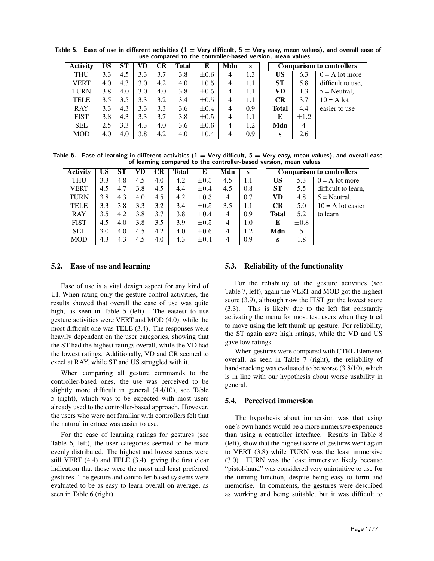| <b>Activity</b> | US  | <b>ST</b> | VD  | <b>CR</b> | Total | E         | Mdn            | s   | <b>Comparison to controllers</b> |                |                   |  |
|-----------------|-----|-----------|-----|-----------|-------|-----------|----------------|-----|----------------------------------|----------------|-------------------|--|
| <b>THU</b>      | 3.3 | 4.5       | 3.3 | 3.7       | 3.8   | $\pm 0.6$ | 4              | 1.3 | US                               | 6.3            | $0 = A$ lot more  |  |
| <b>VERT</b>     | 4.0 | 4.3       | 3.0 | 4.2       | 4.0   | $\pm 0.5$ | $\overline{4}$ | 1.1 | <b>ST</b>                        | 5.8            | difficult to use. |  |
| <b>TURN</b>     | 3.8 | 4.0       | 3.0 | 4.0       | 3.8   | $\pm 0.5$ | $\overline{4}$ | 1.1 | VD                               | 1.3            | $5$ = Neutral,    |  |
| <b>TELE</b>     | 3.5 | 3.5       | 3.3 | 3.2       | 3.4   | $\pm 0.5$ | $\overline{4}$ | 1.1 | CR                               | 3.7            | $10 = A$ lot      |  |
| <b>RAY</b>      | 3.3 | 4.3       | 3.3 | 3.3       | 3.6   | $\pm 0.4$ | $\overline{4}$ | 0.9 | <b>Total</b>                     | 4.4            | easier to use     |  |
| <b>FIST</b>     | 3.8 | 4.3       | 3.3 | 3.7       | 3.8   | $\pm 0.5$ | 4              | 1.1 | E                                | $\pm 1.2$      |                   |  |
| <b>SEL</b>      | 2.5 | 3.3       | 4.3 | 4.0       | 3.6   | $\pm 0.6$ | 4              | 1.2 | Mdn                              | $\overline{4}$ |                   |  |
| <b>MOD</b>      | 4.0 | 4.0       | 3.8 | 4.2       | 4.0   | $\pm 0.4$ | $\overline{4}$ | 0.9 | s                                | 2.6            |                   |  |

Table 5. Ease of use in different activities ( $1 =$  Very difficult,  $5 =$  Very easy, mean values), and overall ease of use compared to the controller-based version, mean values

Table 6. Ease of learning in different activities ( $1 =$  Very difficult,  $5 =$  Very easy, mean values), and overall ease of learning compared to the controller-based version, mean values

| <b>Activity</b> | US  | <b>ST</b> | VD  | CR  | Total | Е         | Mdn | s   | <b>Comparison to controllers</b> |           |                     |  |
|-----------------|-----|-----------|-----|-----|-------|-----------|-----|-----|----------------------------------|-----------|---------------------|--|
| <b>THU</b>      | 3.3 | 4.8       | 4.5 | 4.0 | 4.2   | $\pm 0.5$ | 4.5 | 1.1 | US                               | 5.3       | $0 = A$ lot more    |  |
| <b>VERT</b>     | 4.5 | 4.7       | 3.8 | 4.5 | 4.4   | $\pm 0.4$ | 4.5 | 0.8 | <b>ST</b>                        | 5.5       | difficult to learn, |  |
| <b>TURN</b>     | 3.8 | 4.3       | 4.0 | 4.5 | 4.2   | $\pm 0.3$ | 4   | 0.7 | VD                               | 4.8       | $5$ = Neutral,      |  |
| <b>TELE</b>     | 3.3 | 3.8       | 3.3 | 3.2 | 3.4   | $\pm 0.5$ | 3.5 | 1.1 | <b>CR</b>                        | 5.0       | $10 = A$ lot easier |  |
| <b>RAY</b>      | 3.5 | 4.2       | 3.8 | 3.7 | 3.8   | $\pm 0.4$ | 4   | 0.9 | Total                            | 5.2       | to learn            |  |
| <b>FIST</b>     | 4.5 | 4.0       | 3.8 | 3.5 | 3.9   | $\pm 0.5$ | 4   | 1.0 | E                                | $\pm 0.8$ |                     |  |
| <b>SEL</b>      | 3.0 | 4.0       | 4.5 | 4.2 | 4.0   | $\pm 0.6$ | 4   | 1.2 | Mdn                              | 5         |                     |  |
| <b>MOD</b>      | 4.3 | 4.3       | 4.5 | 4.0 | 4.3   | $\pm 0.4$ | 4   | 0.9 | S                                | 1.8       |                     |  |

#### 5.2. Ease of use and learning

Ease of use is a vital design aspect for any kind of UI. When rating only the gesture control activities, the results showed that overall the ease of use was quite high, as seen in Table 5 (left). The easiest to use gesture activities were VERT and MOD (4.0), while the most difficult one was TELE (3.4). The responses were heavily dependent on the user categories, showing that the ST had the highest ratings overall, while the VD had the lowest ratings. Additionally, VD and CR seemed to excel at RAY, while ST and US struggled with it.

When comparing all gesture commands to the controller-based ones, the use was perceived to be slightly more difficult in general (4.4/10), see Table 5 (right), which was to be expected with most users already used to the controller-based approach. However, the users who were not familiar with controllers felt that the natural interface was easier to use.

For the ease of learning ratings for gestures (see Table 6, left), the user categories seemed to be more evenly distributed. The highest and lowest scores were still VERT (4.4) and TELE (3.4), giving the first clear indication that those were the most and least preferred gestures. The gesture and controller-based systems were evaluated to be as easy to learn overall on average, as seen in Table 6 (right).

### 5.3. Reliability of the functionality

For the reliability of the gesture activities (see Table 7, left), again the VERT and MOD got the highest score (3.9), although now the FIST got the lowest score (3.3). This is likely due to the left fist constantly activating the menu for most test users when they tried to move using the left thumb up gesture. For reliability, the ST again gave high ratings, while the VD and US gave low ratings.

When gestures were compared with CTRL Elements overall, as seen in Table 7 (right), the reliability of hand-tracking was evaluated to be worse (3.8/10), which is in line with our hypothesis about worse usability in general.

### 5.4. Perceived immersion

The hypothesis about immersion was that using one's own hands would be a more immersive experience than using a controller interface. Results in Table 8 (left), show that the highest score of gestures went again to VERT (3.8) while TURN was the least immersive (3.0). TURN was the least immersive likely because "pistol-hand" was considered very unintuitive to use for the turning function, despite being easy to form and memorise. In comments, the gestures were described as working and being suitable, but it was difficult to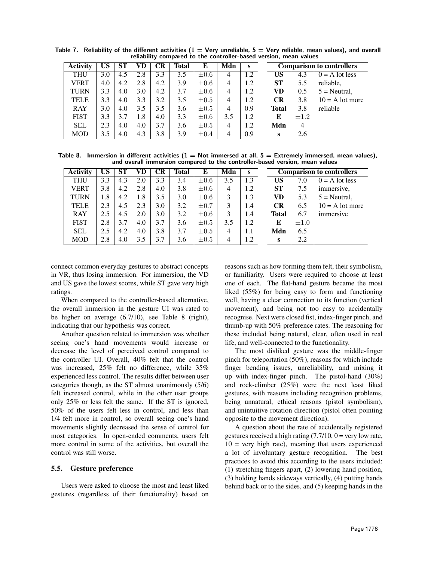| <b>US</b><br>ST<br><b>CR</b><br>VD<br>Mdn<br><b>Activity</b><br>E<br><b>Total</b><br>s |     |     |     |     |     |           |     |     |  |                                  |           |                   |  |
|----------------------------------------------------------------------------------------|-----|-----|-----|-----|-----|-----------|-----|-----|--|----------------------------------|-----------|-------------------|--|
|                                                                                        |     |     |     |     |     |           |     |     |  | <b>Comparison to controllers</b> |           |                   |  |
| <b>THU</b>                                                                             | 3.0 | 4.5 | 2.8 | 3.3 | 3.5 | $\pm 0.6$ | 4   | 1.2 |  | US                               | 4.3       | $0 = A$ lot less  |  |
| <b>VERT</b>                                                                            | 4.0 | 4.2 | 2.8 | 4.2 | 3.9 | $\pm 0.6$ | 4   | 1.2 |  | <b>ST</b>                        | 5.5       | reliable.         |  |
| <b>TURN</b>                                                                            | 3.3 | 4.0 | 3.0 | 4.2 | 3.7 | $\pm 0.6$ | 4   | 1.2 |  | VD                               | 0.5       | $5$ = Neutral.    |  |
| <b>TELE</b>                                                                            | 3.3 | 4.0 | 3.3 | 3.2 | 3.5 | $\pm 0.5$ | 4   | 1.2 |  | <b>CR</b>                        | 3.8       | $10 = A$ lot more |  |
| <b>RAY</b>                                                                             | 3.0 | 4.0 | 3.5 | 3.5 | 3.6 | $\pm 0.5$ | 4   | 0.9 |  | <b>Total</b>                     | 3.8       | reliable          |  |
| <b>FIST</b>                                                                            | 3.3 | 3.7 | 1.8 | 4.0 | 3.3 | $\pm 0.6$ | 3.5 | 1.2 |  | Е                                | $\pm 1.2$ |                   |  |
| <b>SEL</b>                                                                             | 2.3 | 4.0 | 4.0 | 3.7 | 3.6 | $\pm 0.5$ | 4   | 1.2 |  | Mdn                              | 4         |                   |  |
| <b>MOD</b>                                                                             | 3.5 | 4.0 | 4.3 | 3.8 | 3.9 | $\pm 0.4$ | 4   | 0.9 |  | s                                | 2.6       |                   |  |

Table 7. Reliability of the different activities  $(1 = \text{Very unreliable}, 5 = \text{Very reliable}, \text{mean values}),$  and overall reliability compared to the controller-based version, mean values

Table 8. Immersion in different activities  $(1 = Not$  immersed at all,  $5 =$  Extremely immersed, mean values), and overall immersion compared to the controller-based version, mean values

| <b>Activity</b> | US  | <b>ST</b> |     | <b>CR</b> | Total | E         | Mdn            | s   | <b>Comparison to controllers</b> |           |                   |  |
|-----------------|-----|-----------|-----|-----------|-------|-----------|----------------|-----|----------------------------------|-----------|-------------------|--|
| <b>THU</b>      | 3.3 | 4.3       | 2.0 | 3.3       | 3.4   | $\pm 0.6$ | 3.5            | 1.3 | US                               | 7.0       | $0 = A$ lot less  |  |
| <b>VERT</b>     | 3.8 | 4.2       | 2.8 | 4.0       | 3.8   | $\pm 0.6$ | 4              | 1.2 | <b>ST</b>                        | 7.5       | <i>immersive.</i> |  |
| <b>TURN</b>     | 1.8 | 4.2       | 1.8 | 3.5       | 3.0   | $\pm 0.6$ | 3              | 1.3 | VD                               | 5.3       | $5$ = Neutral.    |  |
| <b>TELE</b>     | 2.3 | 4.5       | 2.3 | 3.0       | 3.2   | $\pm 0.7$ | 3              | 1.4 | <b>CR</b>                        | 6.5       | $10 = A$ lot more |  |
| <b>RAY</b>      | 2.5 | 4.5       | 2.0 | 3.0       | 3.2   | $\pm 0.6$ | 3              | 1.4 | Total                            | 6.7       | immersive         |  |
| <b>FIST</b>     | 2.8 | 3.7       | 4.0 | 3.7       | 3.6   | $\pm 0.5$ | 3.5            | 1.2 | E                                | $\pm 1.0$ |                   |  |
| <b>SEL</b>      | 2.5 | 4.2       | 4.0 | 3.8       | 3.7   | $\pm 0.5$ | 4              | 1.1 | Mdn                              | 6.5       |                   |  |
| <b>MOD</b>      | 2.8 | 4.0       | 3.5 | 3.7       | 3.6   | $\pm 0.5$ | $\overline{4}$ | 1.2 | s                                | 2.2       |                   |  |

connect common everyday gestures to abstract concepts in VR, thus losing immersion. For immersion, the VD and US gave the lowest scores, while ST gave very high ratings.

When compared to the controller-based alternative, the overall immersion in the gesture UI was rated to be higher on average (6.7/10), see Table 8 (right), indicating that our hypothesis was correct.

Another question related to immersion was whether seeing one's hand movements would increase or decrease the level of perceived control compared to the controller UI. Overall, 40% felt that the control was increased, 25% felt no difference, while 35% experienced less control. The results differ between user categories though, as the ST almost unanimously (5/6) felt increased control, while in the other user groups only 25% or less felt the same. If the ST is ignored, 50% of the users felt less in control, and less than 1/4 felt more in control, so overall seeing one's hand movements slightly decreased the sense of control for most categories. In open-ended comments, users felt more control in some of the activities, but overall the control was still worse.

#### 5.5. Gesture preference

Users were asked to choose the most and least liked gestures (regardless of their functionality) based on reasons such as how forming them felt, their symbolism, or familiarity. Users were required to choose at least one of each. The flat-hand gesture became the most liked (55%) for being easy to form and functioning well, having a clear connection to its function (vertical movement), and being not too easy to accidentally recognise. Next were closed fist, index-finger pinch, and thumb-up with 50% preference rates. The reasoning for these included being natural, clear, often used in real life, and well-connected to the functionality.

The most disliked gesture was the middle-finger pinch for teleportation (50%), reasons for which include finger bending issues, unreliability, and mixing it up with index-finger pinch. The pistol-hand (30%) and rock-climber (25%) were the next least liked gestures, with reasons including recognition problems, being unnatural, ethical reasons (pistol symbolism), and unintuitive rotation direction (pistol often pointing opposite to the movement direction).

A question about the rate of accidentally registered gestures received a high rating  $(7.7/10, 0 = \text{very low rate},$  $10 =$  very high rate), meaning that users experienced a lot of involuntary gesture recognition. The best practices to avoid this according to the users included: (1) stretching fingers apart, (2) lowering hand position, (3) holding hands sideways vertically, (4) putting hands behind back or to the sides, and (5) keeping hands in the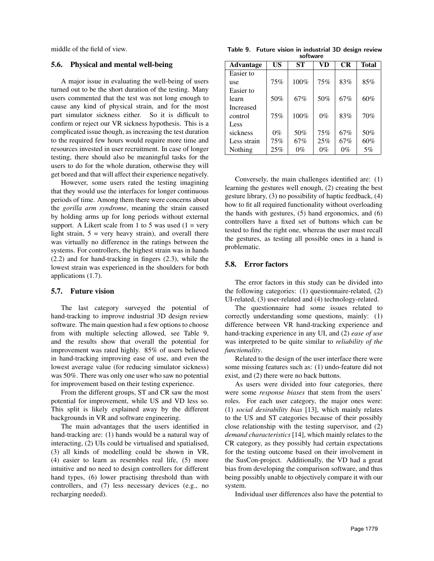middle of the field of view.

### 5.6. Physical and mental well-being

A major issue in evaluating the well-being of users turned out to be the short duration of the testing. Many users commented that the test was not long enough to cause any kind of physical strain, and for the most part simulator sickness either. So it is difficult to confirm or reject our VR sickness hypothesis. This is a complicated issue though, as increasing the test duration to the required few hours would require more time and resources invested in user recruitment. In case of longer testing, there should also be meaningful tasks for the users to do for the whole duration, otherwise they will get bored and that will affect their experience negatively.

However, some users rated the testing imagining that they would use the interfaces for longer continuous periods of time. Among them there were concerns about the *gorilla arm syndrome*, meaning the strain caused by holding arms up for long periods without external support. A Likert scale from 1 to 5 was used  $(1 = \text{very})$ light strain,  $5 = \text{very heavy strain}$ , and overall there was virtually no difference in the ratings between the systems. For controllers, the highest strain was in hands (2.2) and for hand-tracking in fingers (2.3), while the lowest strain was experienced in the shoulders for both applications (1.7).

#### 5.7. Future vision

The last category surveyed the potential of hand-tracking to improve industrial 3D design review software. The main question had a few options to choose from with multiple selecting allowed, see Table 9, and the results show that overall the potential for improvement was rated highly. 85% of users believed in hand-tracking improving ease of use, and even the lowest average value (for reducing simulator sickness) was 50%. There was only one user who saw no potential for improvement based on their testing experience.

From the different groups, ST and CR saw the most potential for improvement, while US and VD less so. This split is likely explained away by the different backgrounds in VR and software engineering.

The main advantages that the users identified in hand-tracking are: (1) hands would be a natural way of interacting, (2) UIs could be virtualised and spatialised, (3) all kinds of modelling could be shown in VR, (4) easier to learn as resembles real life, (5) more intuitive and no need to design controllers for different hand types, (6) lower practising threshold than with controllers, and (7) less necessary devices (e.g., no recharging needed).

Table 9. Future vision in industrial 3D design review software

| <b>Advantage</b> | US    | <b>ST</b> | VD    | <b>CR</b> | <b>Total</b> |
|------------------|-------|-----------|-------|-----------|--------------|
| Easier to        |       |           |       |           |              |
| use              | 75%   | 100%      | 75%   | 83%       | 85%          |
| Easier to        |       |           |       |           |              |
| learn            | 50%   | 67%       | 50%   | 67%       | 60%          |
| <b>Increased</b> |       |           |       |           |              |
| control          | 75%   | 100%      | $0\%$ | 83%       | 70%          |
| Less             |       |           |       |           |              |
| sickness         | $0\%$ | 50%       | 75%   | 67%       | 50%          |
| Less strain      | 75%   | 67%       | 25%   | 67%       | 60%          |
| Nothing          | 25%   | $0\%$     | $0\%$ | $0\%$     | 5%           |

Conversely, the main challenges identified are: (1) learning the gestures well enough, (2) creating the best gesture library, (3) no possibility of haptic feedback, (4) how to fit all required functionality without overloading the hands with gestures, (5) hand ergonomics, and (6) controllers have a fixed set of buttons which can be tested to find the right one, whereas the user must recall the gestures, as testing all possible ones in a hand is problematic.

## 5.8. Error factors

The error factors in this study can be divided into the following categories: (1) questionnaire-related, (2) UI-related, (3) user-related and (4) technology-related.

The questionnaire had some issues related to correctly understanding some questions, mainly: (1) difference between VR hand-tracking experience and hand-tracking experience in any UI, and (2) *ease of use* was interpreted to be quite similar to *reliability of the functionality*.

Related to the design of the user interface there were some missing features such as: (1) undo-feature did not exist, and (2) there were no back buttons.

As users were divided into four categories, there were some *response biases* that stem from the users' roles. For each user category, the major ones were: (1) *social desirability bias* [13], which mainly relates to the US and ST categories because of their possibly close relationship with the testing supervisor, and (2) *demand characteristics* [14], which mainly relates to the CR category, as they possibly had certain expectations for the testing outcome based on their involvement in the SusCon-project. Additionally, the VD had a great bias from developing the comparison software, and thus being possibly unable to objectively compare it with our system.

Individual user differences also have the potential to